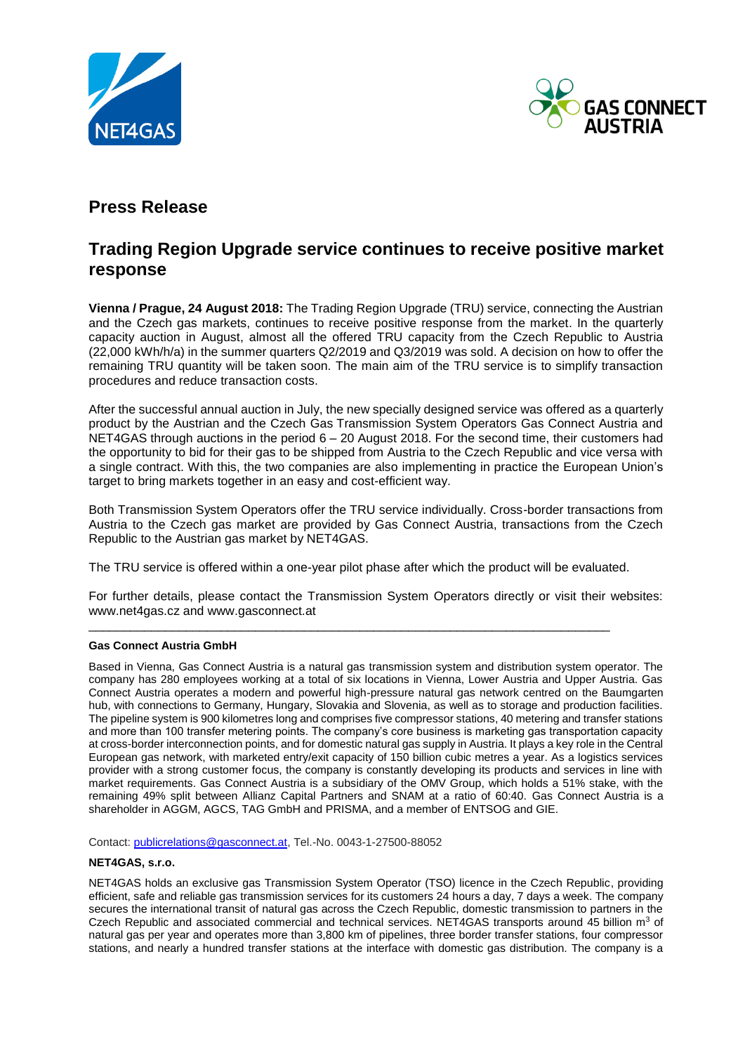



## **Press Release**

## **Trading Region Upgrade service continues to receive positive market response**

**Vienna / Prague, 24 August 2018:** The Trading Region Upgrade (TRU) service, connecting the Austrian and the Czech gas markets, continues to receive positive response from the market. In the quarterly capacity auction in August, almost all the offered TRU capacity from the Czech Republic to Austria (22,000 kWh/h/a) in the summer quarters Q2/2019 and Q3/2019 was sold. A decision on how to offer the remaining TRU quantity will be taken soon. The main aim of the TRU service is to simplify transaction procedures and reduce transaction costs.

After the successful annual auction in July, the new specially designed service was offered as a quarterly product by the Austrian and the Czech Gas Transmission System Operators Gas Connect Austria and NET4GAS through auctions in the period 6 – 20 August 2018. For the second time, their customers had the opportunity to bid for their gas to be shipped from Austria to the Czech Republic and vice versa with a single contract. With this, the two companies are also implementing in practice the European Union's target to bring markets together in an easy and cost-efficient way.

Both Transmission System Operators offer the TRU service individually. Cross-border transactions from Austria to the Czech gas market are provided by Gas Connect Austria, transactions from the Czech Republic to the Austrian gas market by NET4GAS.

The TRU service is offered within a one-year pilot phase after which the product will be evaluated.

\_\_\_\_\_\_\_\_\_\_\_\_\_\_\_\_\_\_\_\_\_\_\_\_\_\_\_\_\_\_\_\_\_\_\_\_\_\_\_\_\_\_\_\_\_\_\_\_\_\_\_\_\_\_\_\_\_\_\_\_\_\_\_\_\_\_\_\_\_\_\_\_\_\_\_

For further details, please contact the Transmission System Operators directly or visit their websites: www.net4gas.cz and www.gasconnect.at

## **Gas Connect Austria GmbH**

Based in Vienna, Gas Connect Austria is a natural gas transmission system and distribution system operator. The company has 280 employees working at a total of six locations in Vienna, Lower Austria and Upper Austria. Gas Connect Austria operates a modern and powerful high-pressure natural gas network centred on the Baumgarten hub, with connections to Germany, Hungary, Slovakia and Slovenia, as well as to storage and production facilities. The pipeline system is 900 kilometres long and comprises five compressor stations, 40 metering and transfer stations and more than 100 transfer metering points. The company's core business is marketing gas transportation capacity at cross-border interconnection points, and for domestic natural gas supply in Austria. It plays a key role in the Central European gas network, with marketed entry/exit capacity of 150 billion cubic metres a year. As a logistics services provider with a strong customer focus, the company is constantly developing its products and services in line with market requirements. Gas Connect Austria is a subsidiary of the OMV Group, which holds a 51% stake, with the remaining 49% split between Allianz Capital Partners and SNAM at a ratio of 60:40. Gas Connect Austria is a shareholder in AGGM, AGCS, TAG GmbH and PRISMA, and a member of ENTSOG and GIE.

Contact: [publicrelations@gasconnect.at,](mailto:publicrelations@gasconnect.at) Tel.-No. 0043-1-27500-88052

## **NET4GAS, s.r.o.**

NET4GAS holds an exclusive gas Transmission System Operator (TSO) licence in the Czech Republic, providing efficient, safe and reliable gas transmission services for its customers 24 hours a day, 7 days a week. The company secures the international transit of natural gas across the Czech Republic, domestic transmission to partners in the Czech Republic and associated commercial and technical services. NET4GAS transports around 45 billion  $m<sup>3</sup>$  of natural gas per year and operates more than 3,800 km of pipelines, three border transfer stations, four compressor stations, and nearly a hundred transfer stations at the interface with domestic gas distribution. The company is a